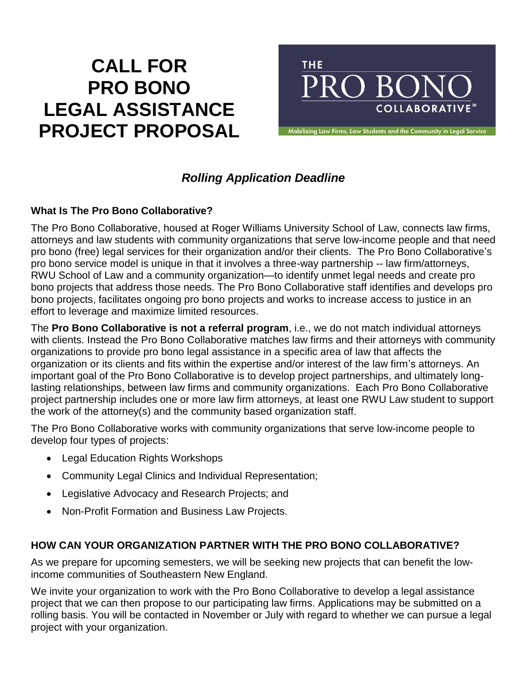# **CALL FOR PRO BONO LEGAL ASSISTANCE PROJECT PROPOSAL**



w Firms, Law Students and the Community in Le

# *Rolling Application Deadline*

### **What Is The Pro Bono Collaborative?**

The Pro Bono Collaborative, housed at Roger Williams University School of Law, connects law firms, attorneys and law students with community organizations that serve low-income people and that need pro bono (free) legal services for their organization and/or their clients. The Pro Bono Collaborative's pro bono service model is unique in that it involves a three-way partnership -- law firm/attorneys, RWU School of Law and a community organization—to identify unmet legal needs and create pro bono projects that address those needs. The Pro Bono Collaborative staff identifies and develops pro bono projects, facilitates ongoing pro bono projects and works to increase access to justice in an effort to leverage and maximize limited resources.

The **Pro Bono Collaborative is not a referral program**, i.e., we do not match individual attorneys with clients. Instead the Pro Bono Collaborative matches law firms and their attorneys with community organizations to provide pro bono legal assistance in a specific area of law that affects the organization or its clients and fits within the expertise and/or interest of the law firm's attorneys. An important goal of the Pro Bono Collaborative is to develop project partnerships, and ultimately longlasting relationships, between law firms and community organizations. Each Pro Bono Collaborative project partnership includes one or more law firm attorneys, at least one RWU Law student to support the work of the attorney(s) and the community based organization staff.

The Pro Bono Collaborative works with community organizations that serve low-income people to develop four types of projects:

- Legal Education Rights Workshops
- Community Legal Clinics and Individual Representation;
- Legislative Advocacy and Research Projects; and
- Non-Profit Formation and Business Law Projects.

## **HOW CAN YOUR ORGANIZATION PARTNER WITH THE PRO BONO COLLABORATIVE?**

As we prepare for upcoming semesters, we will be seeking new projects that can benefit the lowincome communities of Southeastern New England.

We invite your organization to work with the Pro Bono Collaborative to develop a legal assistance project that we can then propose to our participating law firms. Applications may be submitted on a rolling basis. You will be contacted in November or July with regard to whether we can pursue a legal project with your organization.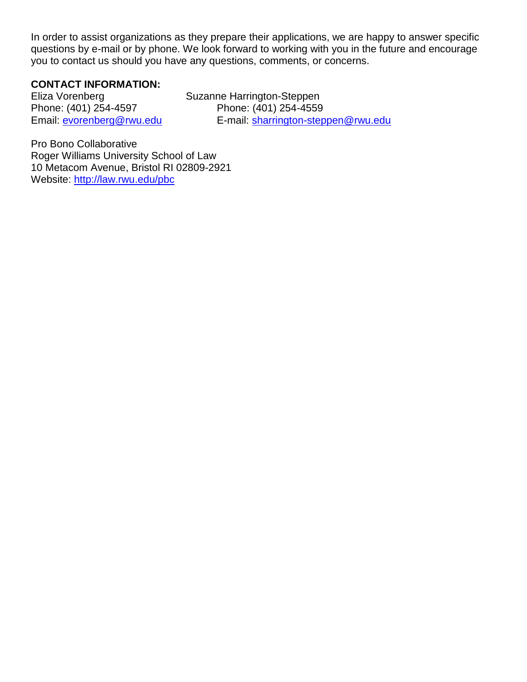In order to assist organizations as they prepare their applications, we are happy to answer specific questions by e-mail or by phone. We look forward to working with you in the future and encourage you to contact us should you have any questions, comments, or concerns.

### **CONTACT INFORMATION:**

Eliza Vorenberg Suzanne Harrington-Steppen Phone: (401) 254-4597 Phone: (401) 254-4559

Email: [evorenberg@rwu.edu](mailto:evorenberg@rwu.edu) E-mail: [sharrington-steppen@rwu.edu](mailto:sharrington-steppen@rwu.edu)

Pro Bono Collaborative Roger Williams University School of Law 10 Metacom Avenue, Bristol RI 02809-2921 Website: <http://law.rwu.edu/pbc>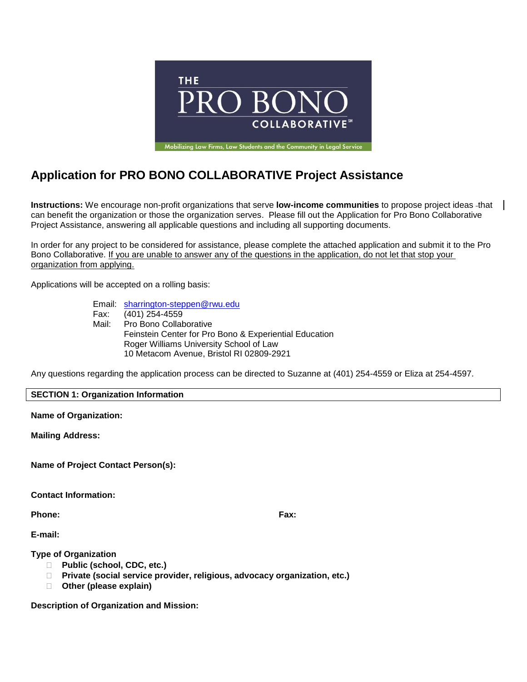

# **Application for PRO BONO COLLABORATIVE Project Assistance**

**Instructions:** We encourage non-profit organizations that serve **low-income communities** to propose project ideas that can benefit the organization or those the organization serves. Please fill out the Application for Pro Bono Collaborative Project Assistance, answering all applicable questions and including all supporting documents.

In order for any project to be considered for assistance, please complete the attached application and submit it to the Pro Bono Collaborative. If you are unable to answer any of the questions in the application, do not let that stop your organization from applying.

Applications will be accepted on a rolling basis:

Email: [sharrington-steppen@rwu.edu](mailto:sharrington-steppen@rwu.edu) Fax: (401) 254-4559 Mail: Pro Bono Collaborative Feinstein Center for Pro Bono & Experiential Education Roger Williams University School of Law 10 Metacom Avenue, Bristol RI 02809-2921

Any questions regarding the application process can be directed to Suzanne at (401) 254-4559 or Eliza at 254-4597.

#### **SECTION 1: Organization Information**

**Name of Organization:**

**Mailing Address:**

**Name of Project Contact Person(s):**

**Contact Information:**

**Phone: Fax:**

**E-mail:**

**Type of Organization**

- **Public (school, CDC, etc.)**
- **Private (social service provider, religious, advocacy organization, etc.)**
- **Other (please explain)**

**Description of Organization and Mission:**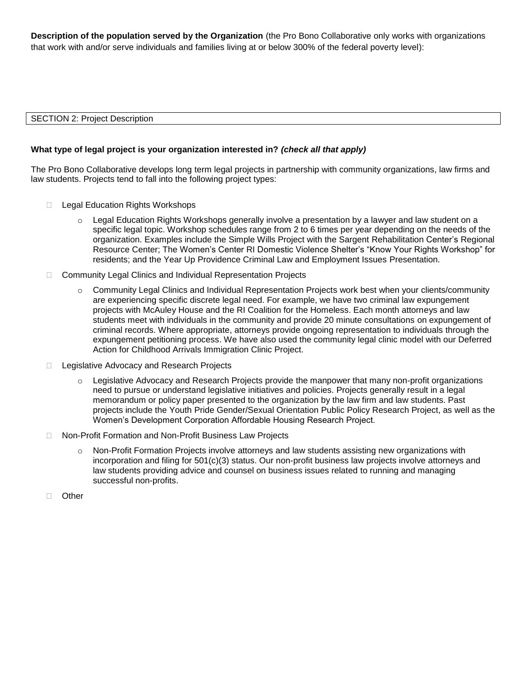**Description of the population served by the Organization** (the Pro Bono Collaborative only works with organizations that work with and/or serve individuals and families living at or below 300% of the federal poverty level):

#### SECTION 2: Project Description

#### **What type of legal project is your organization interested in?** *(check all that apply)*

The Pro Bono Collaborative develops long term legal projects in partnership with community organizations, law firms and law students. Projects tend to fall into the following project types:

- □ Legal Education Rights Workshops
	- $\circ$  Legal Education Rights Workshops generally involve a presentation by a lawyer and law student on a specific legal topic. Workshop schedules range from 2 to 6 times per year depending on the needs of the organization. Examples include the Simple Wills Project with the Sargent Rehabilitation Center's Regional Resource Center; The Women's Center RI Domestic Violence Shelter's "Know Your Rights Workshop" for residents; and the Year Up Providence Criminal Law and Employment Issues Presentation.
- □ Community Legal Clinics and Individual Representation Projects
	- $\circ$  Community Legal Clinics and Individual Representation Projects work best when your clients/community are experiencing specific discrete legal need. For example, we have two criminal law expungement projects with McAuley House and the RI Coalition for the Homeless. Each month attorneys and law students meet with individuals in the community and provide 20 minute consultations on expungement of criminal records. Where appropriate, attorneys provide ongoing representation to individuals through the expungement petitioning process. We have also used the community legal clinic model with our Deferred Action for Childhood Arrivals Immigration Clinic Project.
- □ Legislative Advocacy and Research Projects
	- $\circ$  Legislative Advocacy and Research Projects provide the manpower that many non-profit organizations need to pursue or understand legislative initiatives and policies. Projects generally result in a legal memorandum or policy paper presented to the organization by the law firm and law students. Past projects include the Youth Pride Gender/Sexual Orientation Public Policy Research Project, as well as the Women's Development Corporation Affordable Housing Research Project.
- □ Non-Profit Formation and Non-Profit Business Law Projects
	- o Non-Profit Formation Projects involve attorneys and law students assisting new organizations with incorporation and filing for  $501(c)(3)$  status. Our non-profit business law projects involve attorneys and law students providing advice and counsel on business issues related to running and managing successful non-profits.
- Other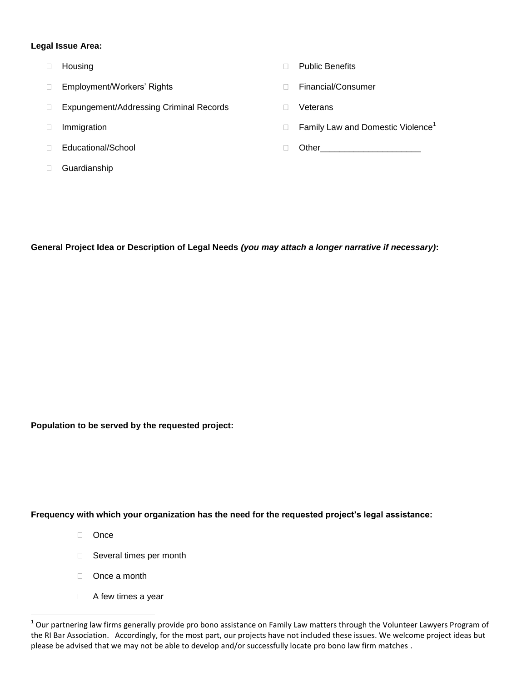#### **Legal Issue Area:**

- 
- Employment/Workers' Rights Financial/Consumer
- □ Expungement/Addressing Criminal Records □ Ueterans
- 
- 
- Guardianship
- □ Housing **Notation According to the Contract of According Public Benefits** 
	-
	-
- $\Box$  Immigration **Family Law and Domestic Violence**<sup>1</sup>
- Educational/School Other\_\_\_\_\_\_\_\_\_\_\_\_\_\_\_\_\_\_\_\_\_

**General Project Idea or Description of Legal Needs** *(you may attach a longer narrative if necessary)***:**

**Population to be served by the requested project:**

**Frequency with which your organization has the need for the requested project's legal assistance:**

□ Once

 $\overline{a}$ 

- □ Several times per month
- D<sub>nce a month</sub>
- A few times a year

 $^1$  Our partnering law firms generally provide pro bono assistance on Family Law matters through the Volunteer Lawyers Program of the RI Bar Association. Accordingly, for the most part, our projects have not included these issues. We welcome project ideas but please be advised that we may not be able to develop and/or successfully locate pro bono law firm matches .